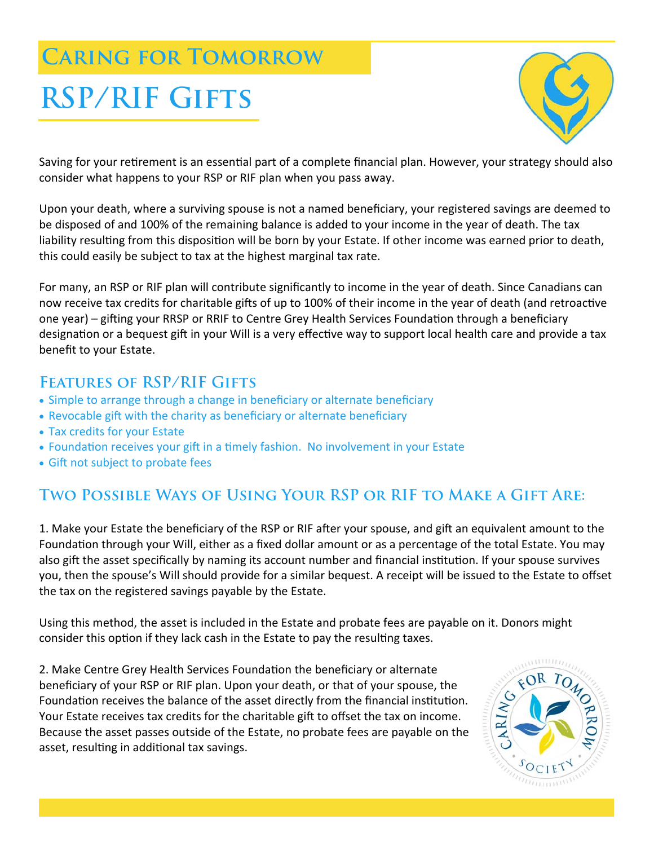# **Caring for Tomorrow**

# **RSP/RIF Gifts**



Saving for your retirement is an essential part of a complete financial plan. However, your strategy should also consider what happens to your RSP or RIF plan when you pass away.

Upon your death, where a surviving spouse is not a named beneficiary, your registered savings are deemed to be disposed of and 100% of the remaining balance is added to your income in the year of death. The tax liability resulting from this disposition will be born by your Estate. If other income was earned prior to death, this could easily be subject to tax at the highest marginal tax rate.

For many, an RSP or RIF plan will contribute significantly to income in the year of death. Since Canadians can now receive tax credits for charitable gifts of up to 100% of their income in the year of death (and retroactive one year) – gifting your RRSP or RRIF to Centre Grey Health Services Foundation through a beneficiary designation or a bequest gift in your Will is a very effective way to support local health care and provide a tax benefit to your Estate.

## **Features of RSP/RIF Gifts**

- Simple to arrange through a change in beneficiary or alternate beneficiary
- Revocable gift with the charity as beneficiary or alternate beneficiary
- Tax credits for your Estate
- Foundation receives your gift in a timely fashion. No involvement in your Estate
- Gift not subject to probate fees

# **Two Possible Ways of Using Your RSP or RIF to Make a Gift Are:**

1. Make your Estate the beneficiary of the RSP or RIF after your spouse, and gift an equivalent amount to the Foundation through your Will, either as a fixed dollar amount or as a percentage of the total Estate. You may also gift the asset specifically by naming its account number and financial institution. If your spouse survives you, then the spouse's Will should provide for a similar bequest. A receipt will be issued to the Estate to offset the tax on the registered savings payable by the Estate.

Using this method, the asset is included in the Estate and probate fees are payable on it. Donors might consider this option if they lack cash in the Estate to pay the resulting taxes.

2. Make Centre Grey Health Services Foundation the beneficiary or alternate beneficiary of your RSP or RIF plan. Upon your death, or that of your spouse, the Foundation receives the balance of the asset directly from the financial institution. Your Estate receives tax credits for the charitable gift to offset the tax on income. Because the asset passes outside of the Estate, no probate fees are payable on the asset, resulting in additional tax savings.